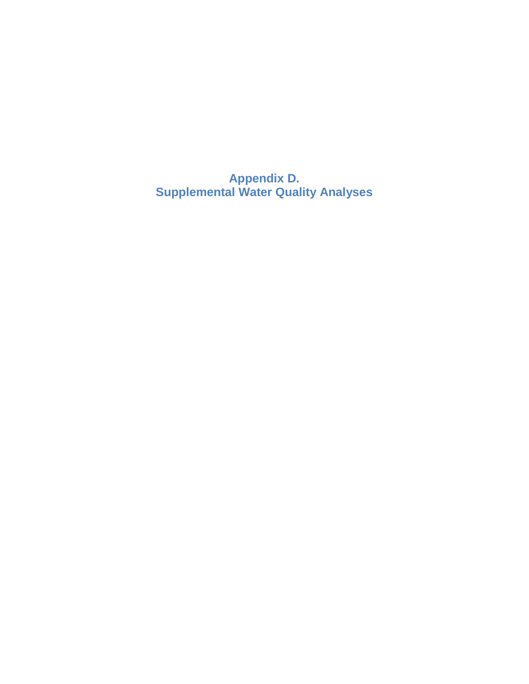**Appendix D. Supplemental Water Quality Analyses**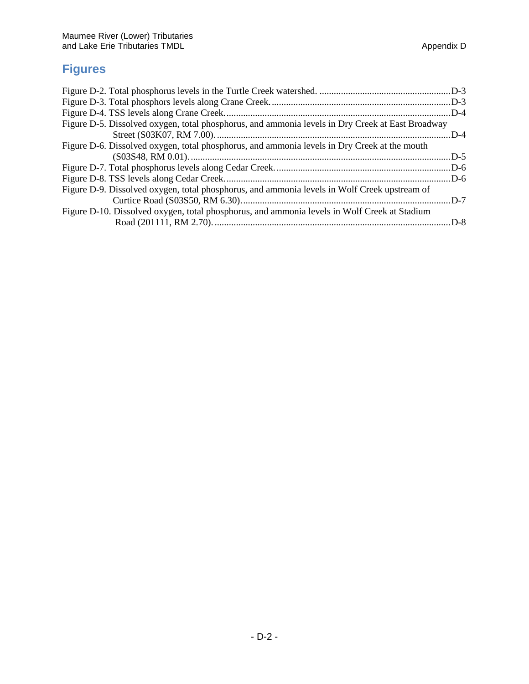## **Figures**

| Figure D-5. Dissolved oxygen, total phosphorus, and ammonia levels in Dry Creek at East Broadway |  |
|--------------------------------------------------------------------------------------------------|--|
|                                                                                                  |  |
| Figure D-6. Dissolved oxygen, total phosphorus, and ammonia levels in Dry Creek at the mouth     |  |
|                                                                                                  |  |
|                                                                                                  |  |
|                                                                                                  |  |
| Figure D-9. Dissolved oxygen, total phosphorus, and ammonia levels in Wolf Creek upstream of     |  |
|                                                                                                  |  |
| Figure D-10. Dissolved oxygen, total phosphorus, and ammonia levels in Wolf Creek at Stadium     |  |
|                                                                                                  |  |
|                                                                                                  |  |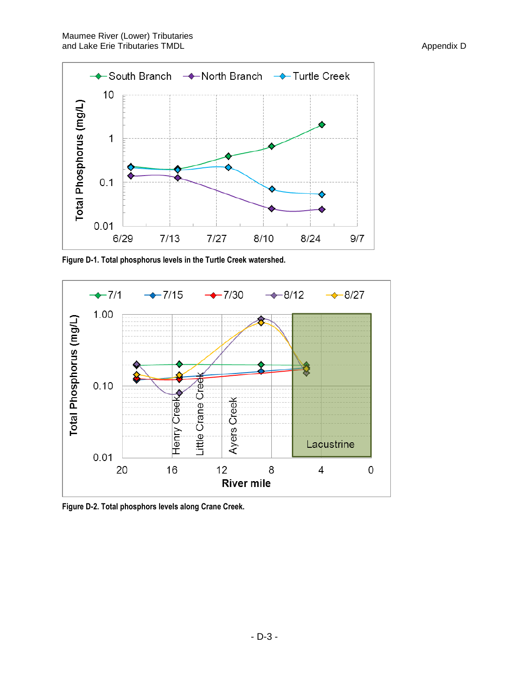

**Figure D-1. Total phosphorus levels in the Turtle Creek watershed.**



**Figure D-2. Total phosphors levels along Crane Creek.**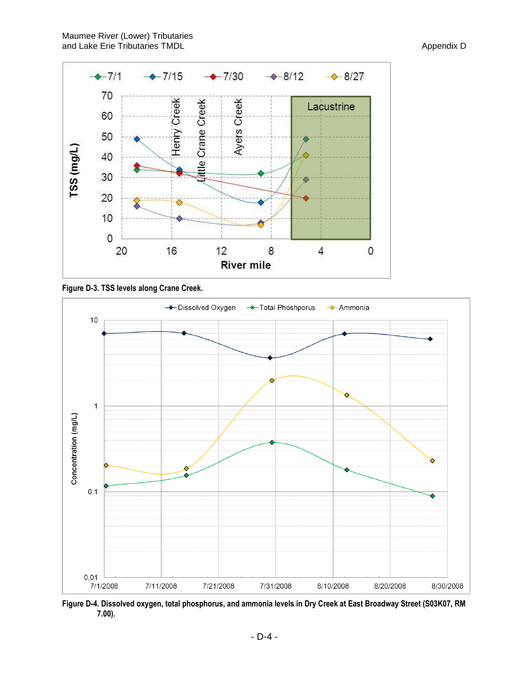





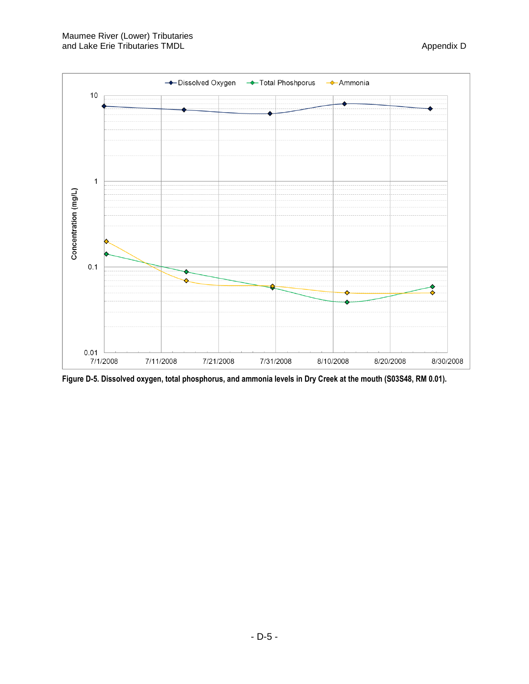

**Figure D-5. Dissolved oxygen, total phosphorus, and ammonia levels in Dry Creek at the mouth (S03S48, RM 0.01).**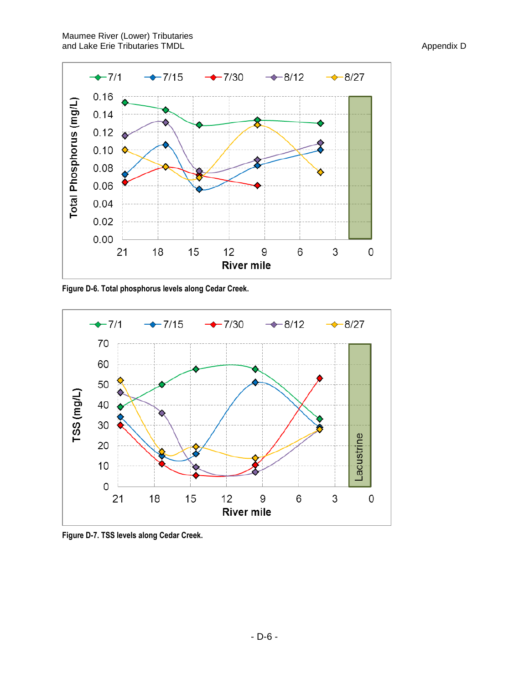

**Figure D-6. Total phosphorus levels along Cedar Creek.**



**Figure D-7. TSS levels along Cedar Creek.**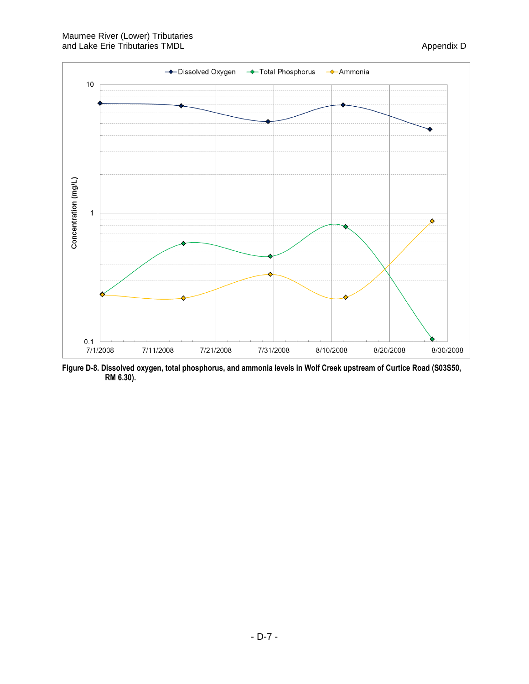

**Figure D-8. Dissolved oxygen, total phosphorus, and ammonia levels in Wolf Creek upstream of Curtice Road (S03S50, RM 6.30).**